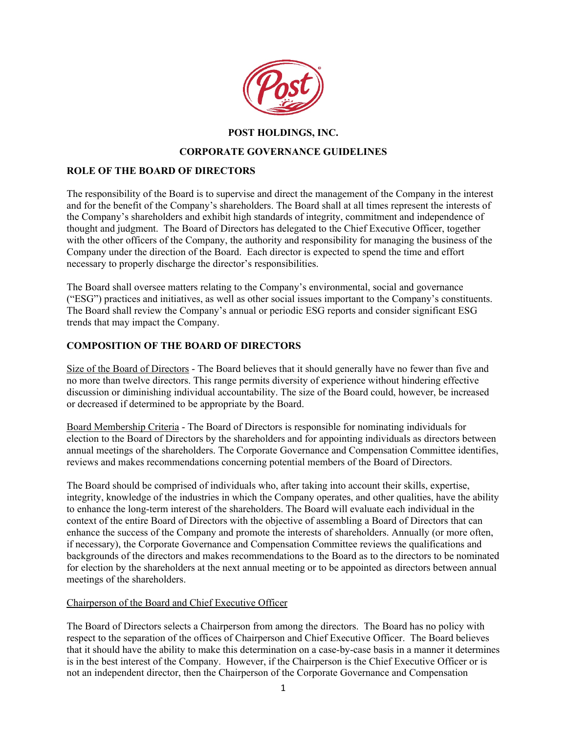

## **POST HOLDINGS, INC.**

## **CORPORATE GOVERNANCE GUIDELINES**

## **ROLE OF THE BOARD OF DIRECTORS**

The responsibility of the Board is to supervise and direct the management of the Company in the interest and for the benefit of the Company's shareholders. The Board shall at all times represent the interests of the Company's shareholders and exhibit high standards of integrity, commitment and independence of thought and judgment. The Board of Directors has delegated to the Chief Executive Officer, together with the other officers of the Company, the authority and responsibility for managing the business of the Company under the direction of the Board. Each director is expected to spend the time and effort necessary to properly discharge the director's responsibilities.

The Board shall oversee matters relating to the Company's environmental, social and governance ("ESG") practices and initiatives, as well as other social issues important to the Company's constituents. The Board shall review the Company's annual or periodic ESG reports and consider significant ESG trends that may impact the Company.

## **COMPOSITION OF THE BOARD OF DIRECTORS**

Size of the Board of Directors - The Board believes that it should generally have no fewer than five and no more than twelve directors. This range permits diversity of experience without hindering effective discussion or diminishing individual accountability. The size of the Board could, however, be increased or decreased if determined to be appropriate by the Board.

Board Membership Criteria - The Board of Directors is responsible for nominating individuals for election to the Board of Directors by the shareholders and for appointing individuals as directors between annual meetings of the shareholders. The Corporate Governance and Compensation Committee identifies, reviews and makes recommendations concerning potential members of the Board of Directors.

The Board should be comprised of individuals who, after taking into account their skills, expertise, integrity, knowledge of the industries in which the Company operates, and other qualities, have the ability to enhance the long-term interest of the shareholders. The Board will evaluate each individual in the context of the entire Board of Directors with the objective of assembling a Board of Directors that can enhance the success of the Company and promote the interests of shareholders. Annually (or more often, if necessary), the Corporate Governance and Compensation Committee reviews the qualifications and backgrounds of the directors and makes recommendations to the Board as to the directors to be nominated for election by the shareholders at the next annual meeting or to be appointed as directors between annual meetings of the shareholders.

#### Chairperson of the Board and Chief Executive Officer

The Board of Directors selects a Chairperson from among the directors. The Board has no policy with respect to the separation of the offices of Chairperson and Chief Executive Officer. The Board believes that it should have the ability to make this determination on a case-by-case basis in a manner it determines is in the best interest of the Company. However, if the Chairperson is the Chief Executive Officer or is not an independent director, then the Chairperson of the Corporate Governance and Compensation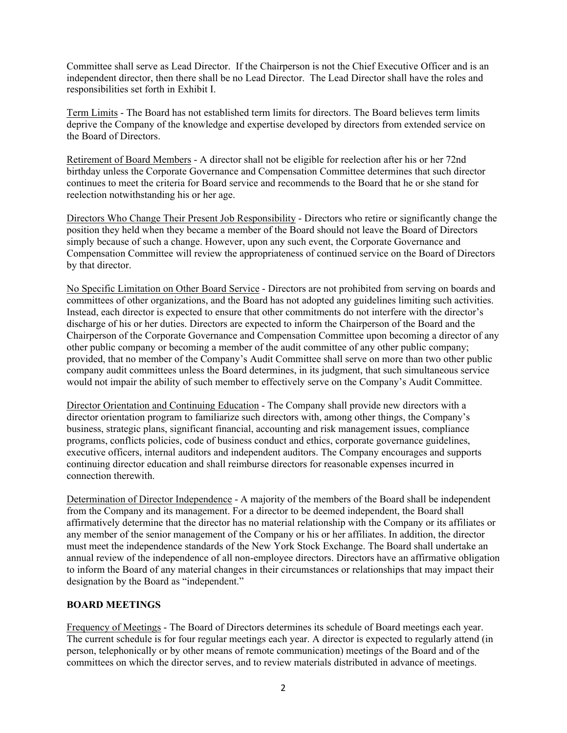Committee shall serve as Lead Director. If the Chairperson is not the Chief Executive Officer and is an independent director, then there shall be no Lead Director. The Lead Director shall have the roles and responsibilities set forth in Exhibit I.

Term Limits - The Board has not established term limits for directors. The Board believes term limits deprive the Company of the knowledge and expertise developed by directors from extended service on the Board of Directors.

Retirement of Board Members - A director shall not be eligible for reelection after his or her 72nd birthday unless the Corporate Governance and Compensation Committee determines that such director continues to meet the criteria for Board service and recommends to the Board that he or she stand for reelection notwithstanding his or her age.

Directors Who Change Their Present Job Responsibility - Directors who retire or significantly change the position they held when they became a member of the Board should not leave the Board of Directors simply because of such a change. However, upon any such event, the Corporate Governance and Compensation Committee will review the appropriateness of continued service on the Board of Directors by that director.

No Specific Limitation on Other Board Service - Directors are not prohibited from serving on boards and committees of other organizations, and the Board has not adopted any guidelines limiting such activities. Instead, each director is expected to ensure that other commitments do not interfere with the director's discharge of his or her duties. Directors are expected to inform the Chairperson of the Board and the Chairperson of the Corporate Governance and Compensation Committee upon becoming a director of any other public company or becoming a member of the audit committee of any other public company; provided, that no member of the Company's Audit Committee shall serve on more than two other public company audit committees unless the Board determines, in its judgment, that such simultaneous service would not impair the ability of such member to effectively serve on the Company's Audit Committee.

Director Orientation and Continuing Education - The Company shall provide new directors with a director orientation program to familiarize such directors with, among other things, the Company's business, strategic plans, significant financial, accounting and risk management issues, compliance programs, conflicts policies, code of business conduct and ethics, corporate governance guidelines, executive officers, internal auditors and independent auditors. The Company encourages and supports continuing director education and shall reimburse directors for reasonable expenses incurred in connection therewith.

Determination of Director Independence - A majority of the members of the Board shall be independent from the Company and its management. For a director to be deemed independent, the Board shall affirmatively determine that the director has no material relationship with the Company or its affiliates or any member of the senior management of the Company or his or her affiliates. In addition, the director must meet the independence standards of the New York Stock Exchange. The Board shall undertake an annual review of the independence of all non-employee directors. Directors have an affirmative obligation to inform the Board of any material changes in their circumstances or relationships that may impact their designation by the Board as "independent."

#### **BOARD MEETINGS**

Frequency of Meetings - The Board of Directors determines its schedule of Board meetings each year. The current schedule is for four regular meetings each year. A director is expected to regularly attend (in person, telephonically or by other means of remote communication) meetings of the Board and of the committees on which the director serves, and to review materials distributed in advance of meetings.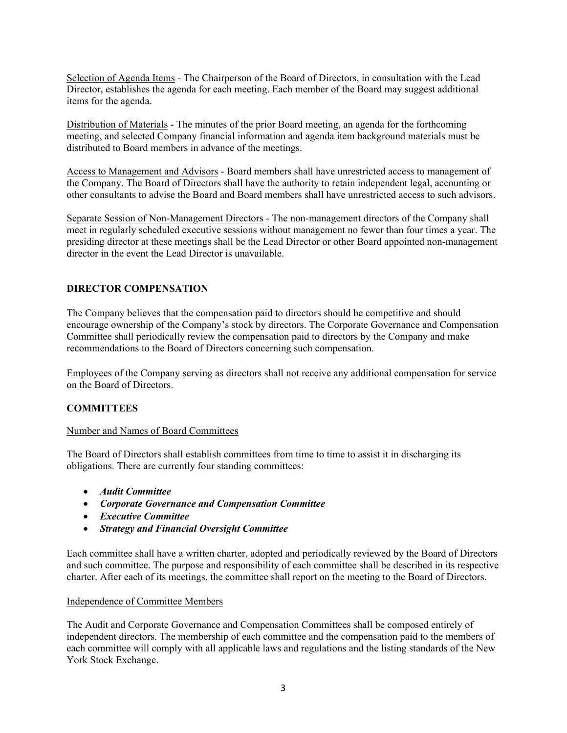Selection of Agenda Items - The Chairperson of the Board of Directors, in consultation with the Lead Director, establishes the agenda for each meeting. Each member of the Board may suggest additional items for the agenda.

Distribution of Materials - The minutes of the prior Board meeting, an agenda for the forthcoming meeting, and selected Company financial information and agenda item background materials must be distributed to Board members in advance of the meetings.

Access to Management and Advisors - Board members shall have unrestricted access to management of the Company. The Board of Directors shall have the authority to retain independent legal, accounting or other consultants to advise the Board and Board members shall have unrestricted access to such advisors.

Separate Session of Non-Management Directors - The non-management directors of the Company shall meet in regularly scheduled executive sessions without management no fewer than four times a year. The presiding director at these meetings shall be the Lead Director or other Board appointed non-management director in the event the Lead Director is unavailable.

## **DIRECTOR COMPENSATION**

The Company believes that the compensation paid to directors should be competitive and should encourage ownership of the Company's stock by directors. The Corporate Governance and Compensation Committee shall periodically review the compensation paid to directors by the Company and make recommendations to the Board of Directors concerning such compensation.

Employees of the Company serving as directors shall not receive any additional compensation for service on the Board of Directors.

#### **COMMITTEES**

#### Number and Names of Board Committees

The Board of Directors shall establish committees from time to time to assist it in discharging its obligations. There are currently four standing committees:

- *Audit Committee*
- *Corporate Governance and Compensation Committee*
- *Executive Committee*
- *Strategy and Financial Oversight Committee*

Each committee shall have a written charter, adopted and periodically reviewed by the Board of Directors and such committee. The purpose and responsibility of each committee shall be described in its respective charter. After each of its meetings, the committee shall report on the meeting to the Board of Directors.

#### Independence of Committee Members

The Audit and Corporate Governance and Compensation Committees shall be composed entirely of independent directors. The membership of each committee and the compensation paid to the members of each committee will comply with all applicable laws and regulations and the listing standards of the New York Stock Exchange.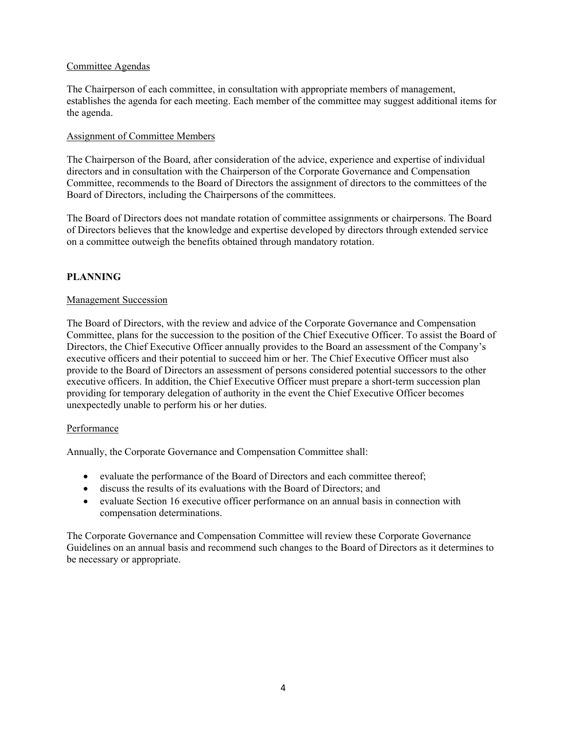## Committee Agendas

The Chairperson of each committee, in consultation with appropriate members of management, establishes the agenda for each meeting. Each member of the committee may suggest additional items for the agenda.

### Assignment of Committee Members

The Chairperson of the Board, after consideration of the advice, experience and expertise of individual directors and in consultation with the Chairperson of the Corporate Governance and Compensation Committee, recommends to the Board of Directors the assignment of directors to the committees of the Board of Directors, including the Chairpersons of the committees.

The Board of Directors does not mandate rotation of committee assignments or chairpersons. The Board of Directors believes that the knowledge and expertise developed by directors through extended service on a committee outweigh the benefits obtained through mandatory rotation.

# **PLANNING**

## Management Succession

The Board of Directors, with the review and advice of the Corporate Governance and Compensation Committee, plans for the succession to the position of the Chief Executive Officer. To assist the Board of Directors, the Chief Executive Officer annually provides to the Board an assessment of the Company's executive officers and their potential to succeed him or her. The Chief Executive Officer must also provide to the Board of Directors an assessment of persons considered potential successors to the other executive officers. In addition, the Chief Executive Officer must prepare a short-term succession plan providing for temporary delegation of authority in the event the Chief Executive Officer becomes unexpectedly unable to perform his or her duties.

#### Performance

Annually, the Corporate Governance and Compensation Committee shall:

- evaluate the performance of the Board of Directors and each committee thereof;
- discuss the results of its evaluations with the Board of Directors; and
- evaluate Section 16 executive officer performance on an annual basis in connection with compensation determinations.

The Corporate Governance and Compensation Committee will review these Corporate Governance Guidelines on an annual basis and recommend such changes to the Board of Directors as it determines to be necessary or appropriate.